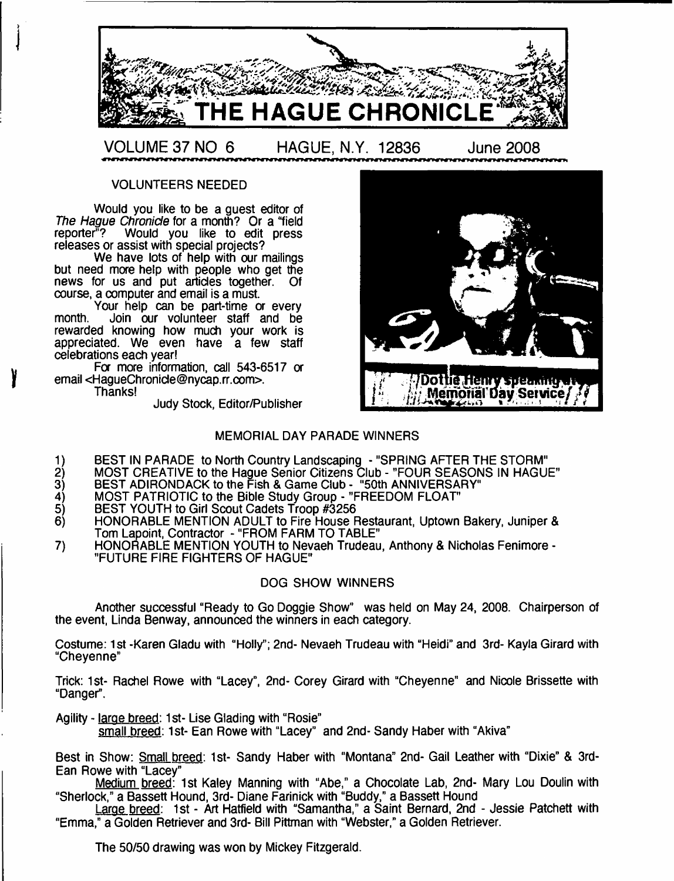

VOLUNTEERS NEEDED

Would you like to be a guest editor of *The Hague Chronicle* for a month? Or a "field reporter"? Would you like to edit press Would you like to edit press releases or assist with special projects?

We have lots of help with our mailings but need more help with people who get the news for us and put articles together. Of course, a computer and email is a must.

Your help can be part-time or every month. Join our volunteer staff and be rewarded knowing how much your work is appreciated. We even have a few staff celebrations each year!

For more information, call 543-6517 or email <[HagueChronide@nycap.rr.com>](mailto:HagueChronide@nycap.rr.com).

Thanks!

Judy Stock, Editor/Publisher



## MEMORIAL DAY PARADE WINNERS

- 1) BEST IN PARADE to North Country Landscaping "SPRING AFTER THE STORM
- 2) MOST CREATIVE to the Hague Senior Citizens Club "FOUR SEASONS IN HAGUE"
- 3) BEST ADIRONDACK to the Fish & Game Club "50th ANNIVERSARY
- 4) MOST PATRIOTIC to the Bible Study Group "FREEDOM FLOAT"
- 5) BEST YOUTH to Girl Scout Cadets Troop #3256<br>6) HONORABLE MENTION ADULT to Fire House F
- 6) HONORABLE MENTION ADULT to Fire House Restaurant, Uptown Bakery, Juniper & Tom Lapoint, Contractor - "FROM FARM TO TABLE"
- 7) HONORABLE MENTION YOUTH to Nevaeh Trudeau, Anthony & Nicholas Fenimore "FUTURE FIRE FIGHTERS OF HAGUE"

## DOG SHOW WINNERS

Another successful "Ready to Go Doggie Show" was held on May 24, 2008. Chairperson of the event, Linda Benway, announced the winners in each category.

Costume: 1st -Karen Gladu with "Holly"; 2nd- Nevaeh Trudeau with "Heidi" and 3rd- Kayla Girard with "Cheyenne"

Trick: 1st- Rachel Rowe with "Lacey", 2nd- Corey Girard with "Cheyenne" and Nicole Brissette with "Danger.

Agility - large breed: 1st- Lise Glading with "Rosie"

small breed: 1st- Ean Rowe with "Lacey" and 2nd- Sandy Haber with "Akiva"

Best in Show: Small breed: 1st- Sandy Haber with "Montana" 2nd- Gail Leather with "Dixie" & 3rd-Ean Rowe with "Lacey"

Medium breed: 1st Kaley Manning with "Abe," a Chocolate Lab, 2nd- Mary Lou Doulin with "Sherlock," a Bassett Hound, 3rd- Diane Farinick with "Buddy," a Bassett Hound

Large breed: 1st - Art Hatfield with "Samantha," a Saint Bernard, 2nd - Jessie Patchett with "Emma," a Golden Retriever and 3rd- Bill Pittman with "Webster," a Golden Retriever.

The 50/50 drawing was won by Mickey Fitzgerald.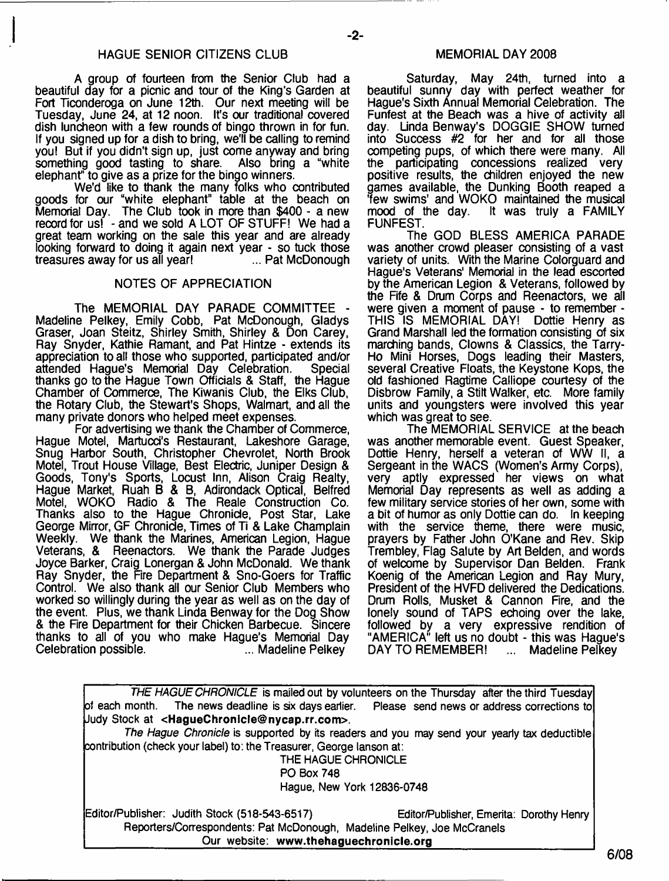A group of fourteen from the Senior Club had a beautiful day for a picnic and tour of the King's Garden at Fort Ticonderoga on June 12th. Our next meeting will be Tuesday, June 24, at 12 noon. It's our traditional covered dish luncheon with a few rounds of bingo thrown in for fun. If you signed up for a dish to bring, we'll be calling to remind you! But if you didn't sign up, just come anyway and bring something good tasting to share. Also bring a "white elephant" to give as a prize for the bingo winners.

We'd like to thank the many folks who contributed goods for our "white elephant" table at the beach on Memorial Day. The Club took in more than \$400 - a new record for us! - and we sold A LOT OF STUFF! We had a great team working on the sale this year and are already looking forward to doing it again next year - so tuck those<br>treasures away for us all year! ... Pat McDonough treasures away for us all year!

#### NOTES OF APPRECIATION

The MEMORIAL DAY PARADE COMMITTEE Madeline Pelkey, Emily Cobb, Pat McDonough, Gladys Graser, Joan Steitz, Shirley Smith, Shirley & Don Carey, Ray Snyder, Kathie Ramant, and Pat Hintze - extends its appreciation to all those who supported, participated and/or attended Hague's Memorial Day Celebration. Special thanks go to the Hague Town Officials & Staff, the Hague Chamber of Commerce, The Kiwanis Club, the Elks Club, the Rotary Club, the Stewart's Shops, Walmart, and all the many private donors who helped meet expenses.

For advertising we thank the Chamber of Commerce, Hague Motel, Martucd's Restaurant, Lakeshore Garage, Snug Harbor South, Christopher Chevrolet, North Brook Motel, Trout House Village, Best Electric, Juniper Design & Goods, Tony's Sports, Locust Inn, Alison Craig Realty, Hague Market, Ruah B & B, Adirondack Optical, Belfred Motel, WOKO Radio & The Reale Construction Co. Thanks also to the Hague Chronicle, Post Star, Lake George Mirror, GF Chronicle, Times of Ti & Lake Champlain Weekly. We thank the Marines, American Legion, Hague Veterans, & Reenactors. We thank the Parade Judges Joyce Barker, Craig Lonergan & John McDonald. We thank Ray Snyder, the Fire Department & Sno-Goers for Traffic Control. We also thank all our Senior Club Members who worked so willingly during the year as well as on the day of the event. Plus, we thank Linda Benway for the Dog Show & the Fire Department for their Chicken Barbecue. Sincere thanks to all of you who make Hague's Memorial Day Celebration possible.

#### MEMORIAL DAY 2008

Saturday, May 24th, turned into a beautiful sunny day with perfect weather for Hague's Sixth Annual Memorial Celebration. The Funfest at the Beach was a hive of activity all day. Linda Benway's DOGGIE SHOW turned into Success #2 for her and for all those competing pups, of which there were many. All the participating concessions realized very positive results, the children enjoyed the new games available, the Dunking Booth reaped a 'few swims' and WOKO maintained the musical mood of the day. It was truly a FAMILY mood of the day.<br>FUNFEST.

The GOD BLESS AMERICA PARADE was another crowd pleaser consisting of a vast variety of units. With the Marine Colorguard and Hague's Veterans' Memorial in the lead escorted by the American Legion & Veterans, followed by the Fife & Drum Corps and Reenactors, we all were given a moment of pause - to remember -<br>THIS IS MEMORIAL DAY! Dottie Henry as THIS IS MEMORIAL DAY! Grand Marshall led the formation consisting of six marching bands, Clowns & Classics, the Tarry-Ho Mini Horses, Dogs leading their Masters, several Creative Floats, the Keystone Kops, the old fashioned Ragtime Calliope courtesy of the Disbrow Family, a Stilt Walker, etc. More family units and youngsters were involved this year which was great to see.

The MEMORIAL SERVICE at the beach was another memorable event. Guest Speaker, Dottie Henry, herself a veteran of WW II, a Sergeant in the WACS (Women's Army Corps), very aptly expressed her views on what Memorial Day represents as well as adding a few military service stories of her own, some with a bit of humor as only Dottie can do. In keeping with the service theme, there were music, prayers by Father John O'Kane and Rev. Skip Trembley, Flag Salute by Art Belden, and words of welcome by Supervisor Dan Belden. Frank Koenig of the American Legion and Ray Mury, President of the HVFD delivered the Dedications. Drum Rolls, Musket & Cannon Fire, and the lonely sound of TAPS echoing over the lake, followed by a very expressive rendition of "AMERICA" left us no doubt - this was Hague's<br>DAY TO REMEMBER! ... Madeline Pelkev DAY TO REMEMBER! ... Madeline Pelkey

*THE HAGUE CHRONICLE* is mailed out by volunteers on the Thursday after the third Tuesday of each month. The news deadline is six days earlier. Please send news or address corrections to Judy Stock at **<[HagueChronicle@nycap.rr.com](mailto:HagueChronicle@nycap.rr.com)>.** *The Hague Chronicle* is supported by its readers and you may send your yearly tax deductible contribution (check your label) to: the Treasurer, George lanson at: THE HAGUE CHRONICLE PO Box 748 Hague, New York 12836-0748 Editor/Publisher: Judith Stock (518-543-6517) Editor/Publisher, Emerita: Dorothy Henry Reporters/Correspondents: Pat McDonough, Madeline Pelkey, Joe McCranels \_\_\_\_\_\_\_\_\_\_\_\_\_\_\_\_\_\_\_ Our website: **[www.thehaguechronicle.org](http://www.thehaguechronicle.org)**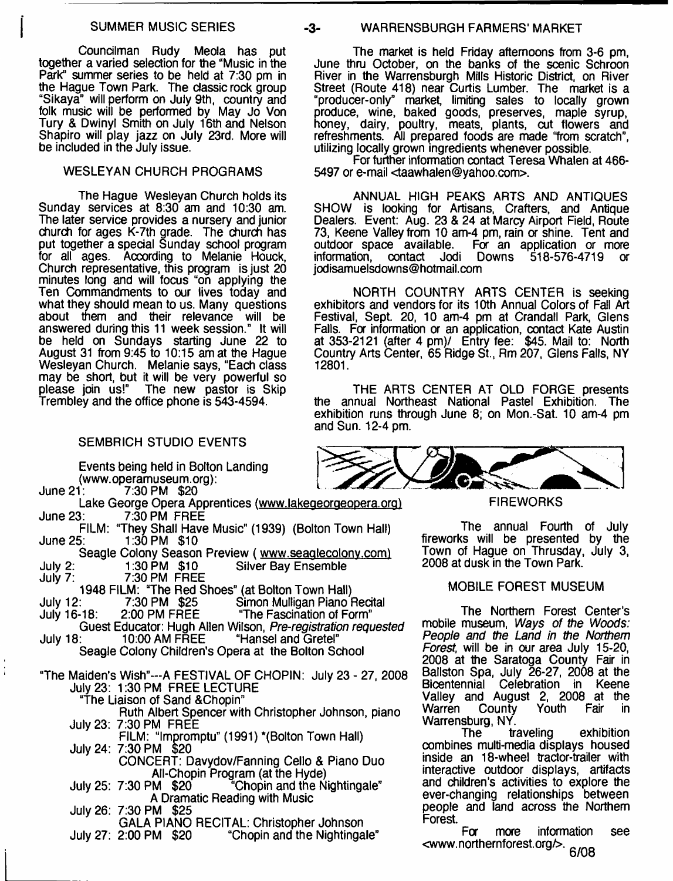Councilman Rudy Meola has put together a varied selection for the "Music in the Park" summer series to be held at 7:30 pm in the Hague Town Park. The classic rock group "Sikaya" will perform on July 9th, country and folk music will be performed by May Jo Von Tury & Dwinyl Smith on July 16th and Nelson Shapiro will play jazz on July 23rd. More will be included in the July issue.

### WESLEYAN CHURCH PROGRAMS

The Hague Wesleyan Church holds its Sunday services at 8:30 am and 10:30 am. The later service provides a nursery and junior church for ages K-7th grade. The church has put together a special Sunday school program for all ages. According to Melanie Houck, Church representative, this program is just 20 minutes long and will focus "on applying the Ten Commandments to our lives today and what they should mean to us. Many questions about them and their relevance will be answered during this 11 week session." It will be held on Sundays starting June 22 to August 31 from 9:45 to 10:15 am at the Hague Wesleyan Church. Melanie says, "Each class may be short, but it will be very powerful so please join us!" The new pastor is Skip Trembley and the office phone is 543-4594.

## SEMBRICH STUDIO EVENTS

Events being held in Bolton Landing (www.operamuseum.org):<br>June 21: 7:30 PM \$20

- 7:30 PM \$20
- Lake George Opera Apprentices (www.lakegeorgeopera.org) June 23: 7:30 PM FREE FILM: "They Shall Have Music" (1939) (Bolton Town Hall)<br>June 25: 1:30 PM \$10 1:30 PM \$10 Seagle Colony Season Preview ( www.seaglecolony.com)<br>1:30 PM \$10 Silver Bay Ensemble July 2: 1:30 PM \$10 Silver Bay Ensemble 7:30 PM FREE 1948 FILM: "The Red Shoes" (at Bolton Town Hall)<br>July 12: 7:30 PM \$25 Simon Mulligan Piano July 12: 7:30 PM \$25 Simon Mulligan Piano Recital<br>July 16-18: 2:00 PM FREE "The Fascination of Form" "The Fascination of Form" Guest Educator: Hugh Allen Wilson, *Pre-registration requested*<br>July 18: 10:00 AM FREE "Hansel and Gretel" "Hansel and Gretel" Seagle Colony Children's Opera at the Bolton School "The Maiden's Wish"- A FESTIVAL OF CHOPIN: July 23 - 27, 2008 July 23: 1:30 PM FREE LECTURE "The Liaison of Sand &Chopin"

Ruth Albert Spencer with Christopher Johnson, piano July 23: 7:30 PM FREE FILM: "Impromptu" (1991) \*(Bolton Town Hall)

- July 24: 7:30 PM \$20 CONCERT: Davydov/Fanning Cello & Piano Duo
- All-Chopin Program (at the Hyde)<br>July 25: 7:30 PM \$20 "Chopin and the N "Chopin and the Nightingale" A Dramatic Reading with Music

July 26: 7:30 PM \$25 GALA PIANO RECITAL: Christopher Johnson "Chopin and the Nightingale"

## SUMMER MUSIC SERIES -3- WARRENSBURGH FARMERS' MARKET

The market is held Friday afternoons from 3-6 pm, June thru October, on the banks of the scenic Schroon River in the Warrensburgh Mills Historic District, on River Street (Route 418) near Curtis Lumber. The market is a "producer-only" market, limiting sales to locally grown produce, wine, baked goods, preserves, maple syrup, honey, dairy, poultry, meats, plants, cut flowers and refreshments. All prepared foods are made "from scratch", utilizing locally grown ingredients whenever possible.

For further information contact Teresa Whalen at 466- 5497 or e-mail [<taawhalen@yahoo.com>](mailto:taawhalen@yahoo.com).

ANNUAL HIGH PEAKS ARTS AND ANTIQUES SHOW is looking for Artisans, Crafters, and Antique Dealers. Event: Aug. 23 & 24 at Marcy Airport Field, Route 73, Keene Valley from 10 am-4 pm, rain or shine. Tent and outdoor space available. For an application or more For an application or more<br>Downs 518-576-4719 or information, contact Jodi Downs 518-576-4719 [jodisamuelsdowns@hotmail.com](mailto:jodisamuelsdowns@hotmail.com)

NORTH COUNTRY ARTS CENTER is seeking exhibitors and vendors for its 10th Annual Colors of Fall Art Festival, Sept. 20, 10 am-4 pm at Crandall Park, Glens Falls. For information or an application, contact Kate Austin at 353-2121 (after 4 pm)/ Entry fee: \$45. Mail to: North Country Arts Center, 65 Ridge St., Rm 207, Glens Falls, NY 12801.

THE ARTS CENTER AT OLD FORGE presents<br>
unual Northeast National Pastel Exhibition. The the annual Northeast National Pastel Exhibition. exhibition runs through June 8; on Mon.-Sat. 10 am-4 pm and Sun. 12-4 pm.



**FIREWORKS** 

The annual Fourth of July fireworks will be presented by the Town of Hague on Thrusday, July 3, 2008 at dusk in the Town Park.

#### MOBILE FOREST MUSEUM

The Northern Forest Center's mobile museum, *Ways of the Woods: People and the Land in the Northern Forest,* will be in our area July 15-20, 2008 at the Saratoga County Fair in Ballston Spa, July 26-27, 2008 at the<br>Bicentennial Celebration in Keene Celebration in Keene Valley and August 2, 2008 at the County

Warrensburg, NY.<br>The traveling exhibition combines multi-media displays housed inside an 18-wheel tractor-trailer with interactive outdoor displays, artifacts and children's activities to explore the ever-changing relationships between people and land across the Northern Forest.

For more information see <www.northernforest.org/>. **6/08**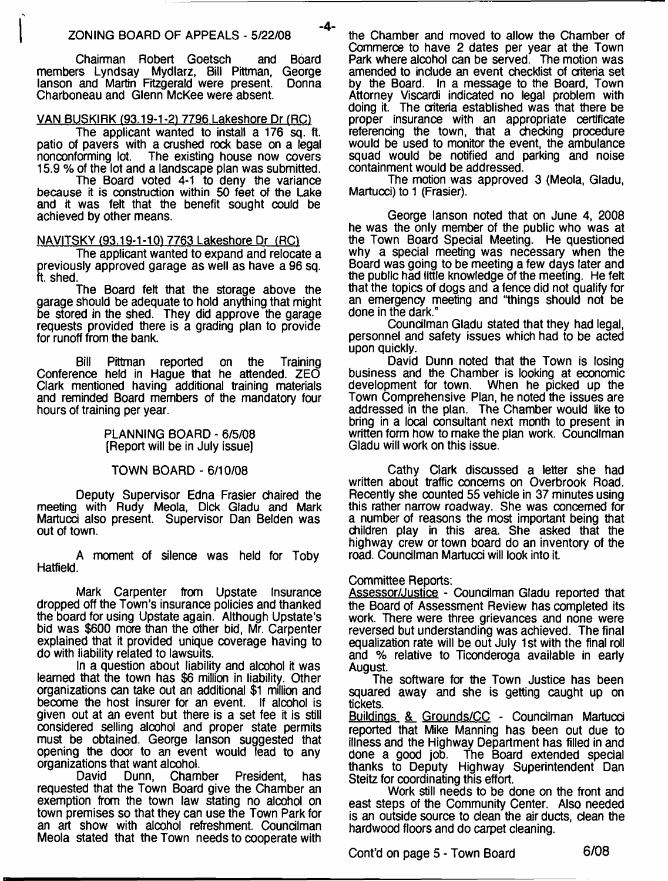-4-

Chairman Robert Goetsch and Board members Lyndsay Mydlarz, Bill Pittman, George lanson and Martin Fitzgerald were present. Charboneau and Glenn McKee were absent.

## VAN BUSKIRK (93.19-1-2) 7796 Lakeshore Dr (RC)

The applicant wanted to install a 176 sq. ft. patio of pavers with a crushed rock base on a legal nonconforming lot. The existing house now covers The existing house now covers 15.9 % of the lot and a landscape plan was submitted.

The Board voted 4-1 to deny the variance because it is construction within 50 feet of the Lake and it was felt that the benefit sought could be achieved by other means.

## NAVITSKY (93.19-1-101 7763 Lakeshore Dr (RC1

The applicant wanted to expand and relocate a previously approved garage as well as have a 96 sq. ft. shed.

The Board felt that the storage above the garage should be adequate to hold anything that might be stored in the shed. They did approve the garage requests provided there is a grading plan to provide for runoff from the bank.

Bill Pittman reported on the Training Conference held in Hague that he attended. ZEO Clark mentioned having additional training materials and reminded Board members of the mandatory four hours of training per year.

> PLANNING BOARD - 6/5/08 [Report will be in July issue]

## TOWN BOARD - 6/10/08

Deputy Supervisor Edna Frasier chaired the meeting with Rudy Meola, Dick Gladu and Mark Martucci also present. Supervisor Dan Belden was out of town.

A moment of silence was held for Toby Hatfield.

Mark Carpenter from Upstate Insurance dropped off the Town's insurance policies and thanked the board for using Upstate again. Although Upstate's bid was \$600 more than the other bid, Mr. Carpenter explained that it provided unique coverage having to do with liability related to lawsuits.

In a question about liability and alcohol it was learned that the town has \$6 million in liability. Other organizations can take out an additional \$1 million and become the host insurer for an event. If alcohol is given out at an event but there is a set fee it is still considered selling alcohol and proper state permits must be obtained. George lanson suggested that opening the door to an event would lead to any organizations that want alcohol.<br>David Dunn, Cham

Chamber President, has requested that the Town Board give the Chamber an exemption from the town law stating no alcohol on town premises so that they can use the Town Park for an art show with alcohol refreshment. Councilman Meola stated that the Town needs to cooperate with

the Chamber and moved to allow the Chamber of Commerce to have 2 dates per year at the Town Park where alcohol can be served. The motion was amended to include an event checklist of criteria set by the Board. In a message to the Board, Town Attorney Viscardi indicated no legal problem with doing it. The criteria established was that there be proper insurance with an appropriate certificate referencing the town, that a checking procedure would be used to monitor the event, the ambulance squad would be notified and parking and noise containment would be addressed.

The motion was approved 3 (Meola, Gladu, Martucci) to 1 (Frasier).

George lanson noted that on June 4, 2008 he was the only member of the public who was at the Town Board Special Meeting. He questioned why a special meeting was necessary when the Board was going to be meeting a few days later and the public had little knowledge of the meeting. He felt that the topics of dogs and a fence did not qualify for an emergency meeting and "things should not be done in the dark."

Councilman Gladu stated that they had legal, personnel and safety issues which had to be acted upon quickly.

David Dunn noted that the Town is losing business and the Chamber is looking at economic development for town. When he picked up the Town Comprehensive Plan, he noted the issues are addressed in the plan. The Chamber would like to bring in a local consultant next month to present in written form how to make the plan work. Councilman Gladu will work on this issue.

Cathy Clark discussed a letter she had written about traffic concerns on Overbrook Road. Recently she counted 55 vehicle in 37 minutes using this rather narrow roadway. She was concerned for a number of reasons the most important being that children play in this area. She asked that the highway crew or town board do an inventory of the road. Councilman Martucci will look into it.

## Committee Reports:

Assessor/Justice - Councilman Gladu reported that the Board of Assessment Review has completed its work. There were three grievances and none were reversed but understanding was achieved. The final equalization rate will be out July 1st with the final roll and % relative to Ticonderoga available in early August.

The software for the Town Justice has been squared away and she is getting caught up on tickets.

Buildings & Grounds/CC - Councilman Martucci reported that Mike Manning has been out due to illness and the Highway Department has filled in and done a good job. The Board extended special The Board extended special thanks to Deputy Highway Superintendent Dan Steitz for coordinating this effort.

Work still needs to be done on the front and east steps of the Community Center. Also needed is an outside source to dean the air ducts, dean the hardwood floors and do carpet cleaning.

Cont'd on page 5 - Town Board **6/08**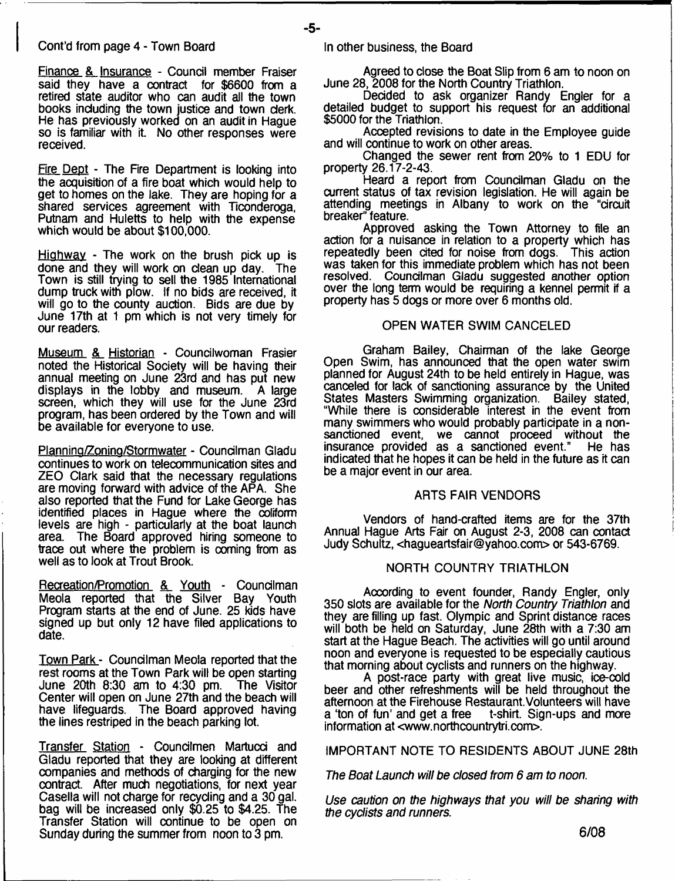#### Cont'd from page 4 - Town Board

Finance & Insurance - Council member Fraiser said they have a contract for \$6600 from a retired state auditor who can audit all the town books including the town justice and town clerk. He has previously worked on an audit in Hague so is familiar with it. No other responses were received.

Fire Dept - The Fire Department is looking into the acquisition of a fire boat which would help to get to homes on the lake. They are hoping for a shared services agreement with Ticonderoga, Putnam and Huletts to help with the expense which would be about \$100,000.

Highway - The work on the brush pick up is done and they will work on dean up day. The Town is still trying to sell the 1985 International dump truck with plow. If no bids are received, it will go to the county auction. Bids are due by June 17th at 1 pm which is not very timely for our readers.

Museum & Historian - Councilwoman Frasier noted the Historical Society will be having their annual meeting on June 23rd and has put new displays in the lobby and museum. A large screen, which they will use for the June 23rd program, has been ordered by the Town and will be available for everyone to use.

Planning/Zoning/Stormwater - Coundlman Gladu continues to work on telecommunication sites and ZEO Clark said that the necessary regulations are moving forward with advice of the APA. She also reported that the Fund for Lake George has identified places in Hague where the coliform levels are high - particularly at the boat launch The Board approved hiring someone to trace out where the problem is coming from as well as to look at Trout Brook.

Recreation/Promotion & Youth - Councilman Meola reported that the Silver Bay Youth Program starts at the end of June. 25 kids have signed up but only 12 have filed applications to date.

Town Park- Coundlman Meola reported that the rest rooms at the Town Park will be open starting<br>June 20th 8:30 am to 4:30 pm. The Visitor June 20th 8:30 am to 4:30 pm. Center will open on June 27th and the beach will have lifeguards. The Board approved having the lines restriped in the beach parking lot.

Transfer Station - Councilmen Martucci and Gladu reported that they are looking at different companies and methods of charging for the new contract. After much negotiations, for next year Casella will not charge for recyding and a 30 gal. bag will be increased only \$0.25 to \$4.25. The Transfer Station will continue to be open on Sunday during the summer from noon to 3 pm.

- **5**-

Agreed to dose the Boat Slip from 6 am to noon on June 28, 2008 for the North Country Triathlon.

Decided to ask organizer Randy Engler for a detailed budget to support his request for an additional \$5000 for the Triathlon.

Accepted revisions to date in the Employee guide and will continue to work on other areas.

Changed the sewer rent from 20% to 1 EDU for property 26.17-2-43.

Heard a report from Coundlman Gladu on the current status of tax revision legislation. He will again be attending meetings in Albany to work on the "circuit breaker" feature.

Approved asking the Town Attorney to file an action for a nuisance in relation to a property which has repeatedly been dted for noise from dogs. This action was taken for this immediate problem which has not been resolved. Councilman Gladu suggested another option over the long term would be requiring a kennel permit if a property has 5 dogs or more over 6 months old.

## OPEN WATER SWIM CANCELED

Graham Bailey, Chairman of the lake George Open Swim, has announced that the open water swim planned for August 24th to be held entirely in Hague, was canceled for lack of sanctioning assurance by the United States Masters Swimming organization. Bailey stated, "While there is considerable interest in the event from many swimmers who would probably participate in a nonsanctioned event, we cannot proceed without the insurance provided as a sanctioned event." He has indicated that he hopes it can be held in the future as it can be a major event in our area.

## ARTS FAIR VENDORS

Vendors of hand-crafted items are for the 37th Annual Hague Arts Fair on August 2-3, 2008 can contact Judy Schultz, <[hagueartsfair@yahoo.com>](mailto:hagueartsfair@yahoo.com) or 543-6769.

## NORTH COUNTRY TRIATHLON

Aocording to event founder, Randy Engler, only 350 slots are available for the *North Country Triathlon* and they are filling up fast. Olympic and Sprint distance races will both be held on Saturday, June 28th with a 7:30 am start at the Hague Beach. The activities will go until around noon and everyone is requested to be especially cautious that morning about cyclists and runners on the highway.

A post-race party with great live music, ice-cold beer and other refreshments will be held throughout the afternoon at the Firehouse Restaurant. Volunteers will have a 'ton of fun' and get a free t-shirt. Sign-ups and more a 'ton of fun' and get a free information at [<www.northcountrytri.com>](http://www.northcountrytri.com).

IMPORTANT NOTE TO RESIDENTS ABOUT JUNE 28th

*The Boat Launch will be closed from 6 am to noon.*

*Use caution on the highways that you will be shahng with the cyclists and runners.*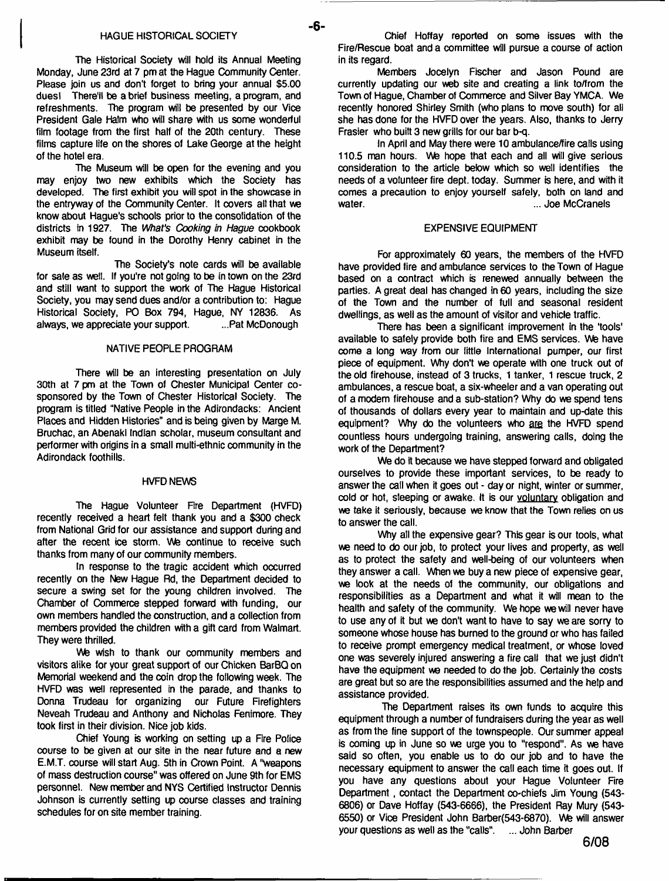#### **HAGUE HISTORICAL SOCIETY**

- **6**-

**The Historical Society will hold its Annual Meeting Monday, June 23rd at 7 pm at the Hague Community Center. Please join us and don't forget to bring your annual \$5.00 dues! There'll be a brief business meeting, a program, and refreshments. The program will be presented by our Vice President Gale Halm who will share with us some wonderful film footage from the first half of the 20th century. These films capture life on the shores of Lake George at the height of the hotel era.**

**The Museum will be open for the evening and you may enjoy two new exhibits which the Society has developed. The first exhibit you will spot in the showcase in the entryway of the Community Center. It covers alt that we know about Hague's schools prior to the consolidation of the districts fn 1927. The Wfraf's** *Cooking in Hague* **cookbook exhibit may be found in the Dorothy Henry cabinet in the Museum itself.**

**The Society's note cards will be available for sale as well. If you're not going to be in town on the 23rd and still want to support the work of The Hague Historical Society, you may send dues and/or a contribution to: Hague Historical Society, PO Box 794, Hague, NY 12836. As** always, we appreciate your support.

#### **NATIVE PEOPLE PROGRAM**

**There will be an interesting presentation on July 30th at 7 pm at the Town of Chester Municipal Center cosponsored by the Town of Chester Historical Society. The program is titled "Native People in the Adirondacks: Ancient Places and Hidden Histories" and is being given by Marge M. Bruchac, an Abenaki Indian scholar, museum consultant and performer with origins in a small multi-ethnic community in the Adirondack foothills.**

#### **HVFD NEWS**

**The Hague Volunteer Fire Department (HVFD) recently received a heart felt thank you and a \$300 check from National Grid for our assistance and support during and after the recent ice storm. We continue to receive such thanks from many of our community members.**

**In response to the tragic accident which occurred recently on the New Hague Rd, the Department decided to secure a swing set for the young children involved. The Chamber of Commerce stepped forward with funding, our own members handled the construction, and a collection from members provided the children with a gift card from Walmart. They were thrilled.**

**We wish to thank our community members and visitors alike for your great support of our Chicken BarBQ on Memorial weekend and the coin drop the following week. The HVFD was well represented in the parade, and thanks to Donna Trudeau for organizing our Future Firefighters Neveah Trudeau and Anthony and Nicholas Fenimore. They took first in their division. Nice job kids.**

**Chief Young is working on setting up a Fire Police course to be given at our site in the near future and a new E.M.T. course will start Aug. 5th in Crown Point. A "weapons of mass destruction course" was offered on June 9th for EMS personnel. New member and NYS Certified Instructor Dennis Johnson is currently setting up course classes and training schedules for on site member training.**

**Chief Hoffay reported on some issues with the Fire/Rescue boat and a committee will pursue a course of action in its regard.**

**Members Jocelyn Fischer and Jason Pound are currently updating our web site and creating a link to/from the Town of Hague, Chamber of Commerce and Silver Bay YMCA. We recently honored Shirley Smith (who plans to move south) for all she has done for the HVFD over the years. Also, thanks to Jerry Frasier who built 3 new grills for our bar b-q.**

**In April and May there were 10 ambulance/fire calls using 110.5 man hours. We hope that each and all will give serious consideration to the article below which so well identifies the needs of a volunteer fire dept, today. Summer is here, and with it comes a precaution to enjoy yourself safely, both on land and water. ... Joe McCranels**

#### **EXPENSIVE EQUIPMENT**

**For approximately 60 years, the members of the HVFD have provided fire and ambulance services to the Town of Hague based on a contract which is renewed annually between the parties. A great deal has changed in 60 years, including the size of the Town and the number of full and seasonal resident dwellings, as well as the amount of visitor and vehicle traffic.**

**There has been a significant improvement in the tools' available to safely provide both fire and EMS services. We have come a long way from our little International pumper, our first piece of equipment. Why don't we operate with one truck out of the old firehouse, instead of 3 trucks, 1 tanker, 1 rescue truck, 2 ambulances, a rescue boat, a six-wheeler and a van operating out of a modem firehouse and a sub-station? Why do we spend tens of thousands of dollars every year to maintain and up-date this** equipment? Why do the volunteers who are the HVFD spend **countless hours undergoing training, answering calls, doing the work of the Department?**

**We do it because we have stepped forward and obligated ourselves to provide these important services, to be ready to answer the call when it goes out - day or night, winter or summer, cold or hot, sleeping or awake. It is our voluntary obligation and we take it seriously, because we know that the Town relies on us to answer the call.**

**Why all the expensive gear? This gear is our tools, what we need to do our job, to protect your lives and property, as well as to protect the safety and well-being of our volunteers when they answer a call. When we buy a new piece of expensive gear, we look at the needs of the community, our obligations and responsibilities as a Department and what it will mean to the health and safety of the community. We hope we will never have to use any of it but we don't want to have to say we are sorry to someone whose house has burned to the ground or who has failed to receive prompt emergency medical treatment, or whose loved one was severely injured answering a fire call that we just didn't have the equipment we needed to do the job. Certainly the costs are great but so are the responsibilities assumed and the help and assistance provided.**

**The Department raises its own funds to acquire this equipment through a number of fundraisers during the year as well as from the fine support of the townspeople. Our summer appeal is coming up in June so we urge you to "respond". As we have said so often, you enable us to do our job and to have the necessary equipment to answer the call each time it goes out. If you have any questions about your Hague Volunteer Fire Department, contact the Department co-chiefs Jim Young (543- 6806) or Dave Hoffay (543-6666), the President Ray Mury (543- 6550) or Vice President John Barber{543-6870). We will answer your questions as well as the "calls". ... John Barber**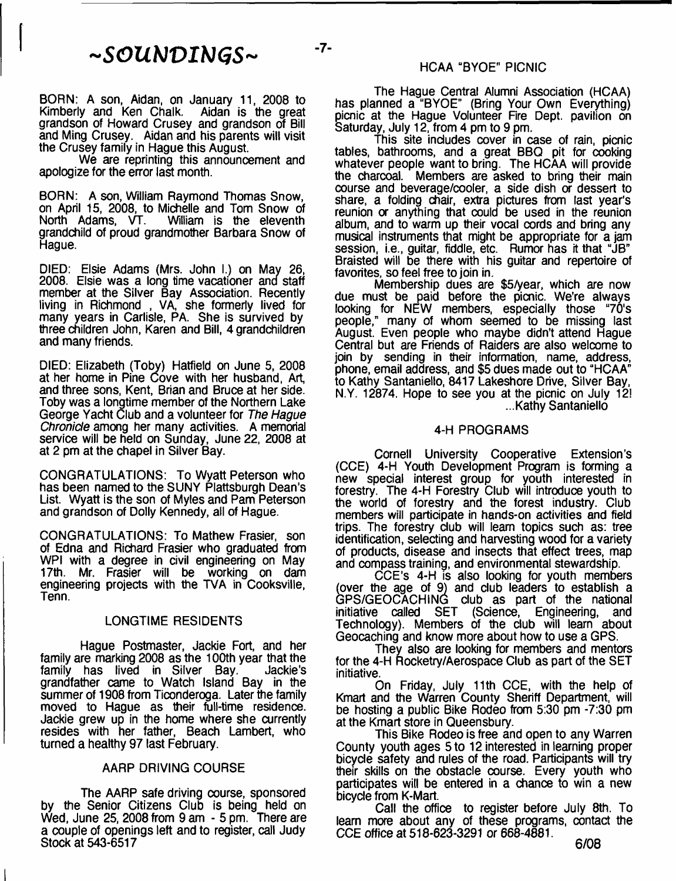$~\sim$ *SOUNDINGS*~

BORN: A son, Aidan, on January 11, 2008 to Kimberly and Ken Chalk. Aidan is the great grandson of Howard Crusey and grandson of Bill and Ming Crusey. Aidan and his parents will visit the Crusey family in Hague this August.

We are reprinting this announcement and apologize for the error last month.

BORN: A son, William Raymond Thomas Snow, on April 15, 2008, to Michelle and Tom Snow of<br>North Adams, VT. William is the eleventh William is the eleventh grandchild of proud grandmother Barbara Snow of Hague.

DIED: Elsie Adams (Mrs. John I.) on May 26, 2008. Elsie was a long time vacationer and staff member at the Silver Bay Association. Recently living in Richmond , VA, she formerly lived for many years in Carlisle, PA. She is survived by three children John, Karen and Bill, 4 grandchildren and many friends.

DIED: Elizabeth (Toby) Hatfield on June 5, 2008 at her home in Pine Cove with her husband, Art, and three sons, Kent, Brian and Bruce at her side. Toby was a longtime member of the Northern Lake George Yacht Club and a volunteer for *The Hague Chronicle* among her many activities. A memorial service will be held on Sunday, June 22, 2008 at at 2 pm at the chapel in Silver Bay.

CONGRATULATIONS: To Wyatt Peterson who has been named to the SUNY Plattsburgh Dean's List. Wyatt is the son of Myles and Pam Peterson and grandson of Dolly Kennedy, all of Hague.

CONGRATULATIONS: To Mathew Frasier, son of Edna and Richard Frasier who graduated from WPI with a degree in civil engineering on May 17th. Mr. Frasier will be working on dam engineering projects with the TVA in Cooksville, Tenn.

### LONGTIME RESIDENTS

Hague Postmaster, Jackie Fort, and her family are marking 2008 as the 100th year that the family has lived in Silver Bay. Jackie's grandfather came to Watch Island Bay in the summer of 1908 from Ticonderoga. Later the family moved to Hague as their full-time residence. Jackie grew up in the home where she currently resides with her father, Beach Lambert, who turned a healthy 97 last February.

#### AARP DRIVING COURSE

The AARP safe driving course, sponsored by the Senior Citizens Club is being held on Wed, June 25, 2008 from 9 am - 5 pm. There are a couple of openings left and to register, call Judy Stock at 543-6517

The Hague Central Alumni Association (HCAA) has planned a "BYOE" (Bring Your Own Everything) picnic at the Hague Volunteer Fire Dept, pavilion on Saturday, July 12, from 4 pm to 9 pm.

This site includes cover in case of rain, picnic tables, bathrooms, and a great BBQ pit for cooking whatever people want to bring. The HCAA will provide the charcoal. Members are asked to bring their main course and beverage/cooler, a side dish or dessert to share, a folding chair, extra pictures from last year's reunion or anything that could be used in the reunion album, and to warm up their vocal cords and bring any musical instruments that might be appropriate for a jam session, i.e., guitar, fiddle, etc. Rumor has it that "JB" Braisted will be there with his guitar and repertoire of favorites, so feel free to join in.

Membership dues are \$5/year, which are now due must be paid before the picnic. We're always looking for NEW members, especially those "70's people," many of whom seemed to be missing last August. Even people who maybe didn't attend Hague Central but are Friends of Raiders are also welcome to join by sending in their information, name, address, phone, email address, and \$5 dues made out to "HCAA" to Kathy Santaniello, 8417 Lakeshore Drive, Silver Bay, N.Y. 12874. Hope to see you at the picnic on July 12! ...Kathy Santaniello

#### 4-H PROGRAMS

Cornell University Cooperative Extension's (CCE) 4-H Youth Development Program is forming a new special interest group for youth interested in forestry. The 4-H Forestry Club will introduce youth to the world of forestry and the forest industry. Club members will participate in hands-on activities and field trips. The forestry dub will learn topics such as: tree identification, selecting and harvesting wood for a variety of products, disease and insects that effect trees, map and compass training, and environmental stewardship.

CCE's 4-H is also looking for youth members (over the age of 9) and dub leaders to establish a GPS/GEOCACHING club as part of the national initiative called SET (Science, Engineering, and Technology). Members of the dub will learn about Geocaching and know more about how to use a GPS.

They also are looking for members and mentors for the 4-H Rocketry/Aerospace Club as part of the SET initiative.

On Friday, July 11th CCE, with the help of Kmart and the Warren County Sheriff Department, will be hosting a public Bike Rodeo from 5:30 pm -7:30 pm at the Kmart store in Queensbury.

This Bike Rodeo is free and open to any Warren County youth ages 5 to 12 interested in learning proper bicyde safety and rules of the road. Participants will try their skills on the obstacle course. Every youth who participates will be entered in a chance to win a new bicyde from K-Mart.

Call the office to register before July 8th. To learn more about any of these programs, contact the CCE office at 518-623-3291 or 668-4881.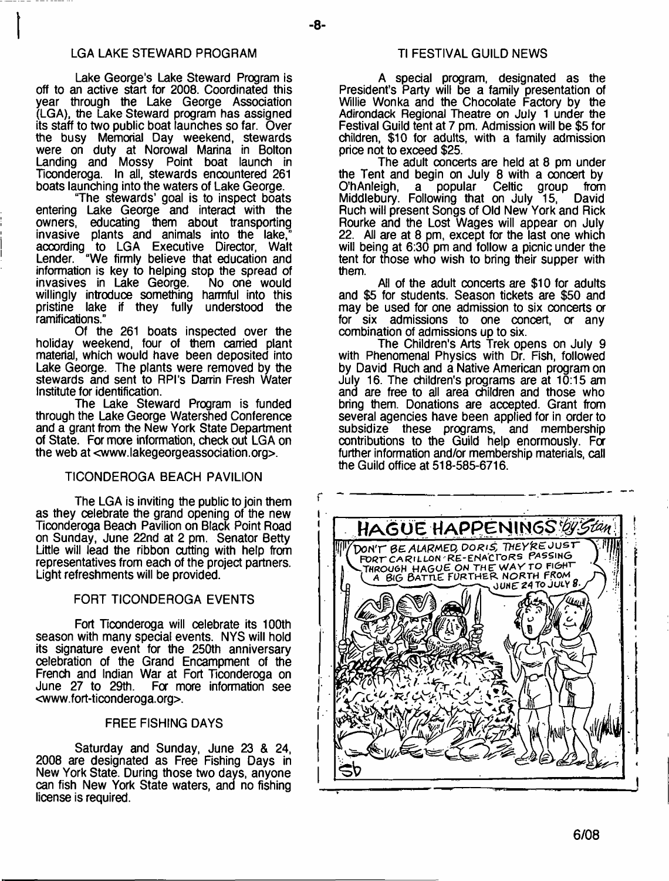## LGA LAKE STEWARD PROGRAM

- **8**-

Lake George's Lake Steward Program is off to an active start for 2008. Coordinated this year through the Lake George Association (LGA), the Lake Steward program has assigned its staff to two public boat launches so far. Over the busy Memorial Day weekend, stewards were on duty at Norowal Marina in Bolton Landing and Mossy Point boat launch in Ticonderoga. In all, stewards encountered 261 boats launching into the waters of Lake George.

"The stewards' goal is to inspect boats entering Lake George and interact with the owners, educating them about transporting invasive plants and animals into the lake," according to LGA Executive Director, Walt Lender. "We firmly believe that education and information is key to helping stop the spread of invasives in Lake George. willingly introduce something harmful into this pristine lake if they fully understood the ramifications."

Of the 261 boats inspected over the holiday weekend, four of them carried plant material, which would have been deposited into Lake George. The plants were removed by the stewards and sent to RPI's Darrin Fresh Water Institute for identification.

The Lake Steward Program is funded through the Lake George Watershed Conference and a grant from the New York State Department of State. For more information, check out LGA on the web at [<www.lakegeorgeassociation.org](http://www.lakegeorgeassociation.org)>.

## TICONDEROGA BEACH PAVILION

The LGA is inviting the public to join them as they celebrate the grand opening of the new Ticonderoga Beach Pavilion on Black Point Road on Sunday, June 22nd at 2 pm. Senator Betty Little will lead the ribbon cutting with help from representatives from each of the project partners. Light refreshments will be provided.

### FORT TICONDEROGA EVENTS

Fort Ticonderoga will celebrate its 100th season with many special events. NYS will hold its signature event for the 250th anniversary celebration of the Grand Encampment of the French and Indian War at Fort Ticonderoga on<br>June 27 to 29th. For more information see For more information see [<www.fort-ticonderoga.org>](http://www.fort-ticonderoga.org).

### FREE FISHING DAYS

Saturday and Sunday, June 23 & 24, 2008 are designated as Free Fishing Days in New York State. During those two days, anyone can fish New York State waters, and no fishing license is required.

A special program, designated as the President's Party will be a family presentation of Willie Wonka and the Chocolate Factory by the Adirondack Regional Theatre on July 1 under the Festival Guild tent at 7 pm. Admission will be \$5 for children, \$10 for adults, with a family admission price not to exceed \$25.

The adult concerts are held at 8 pm under the Tent and begin on July 8 with a concert by O'hAnleigh, a popular Celtic group from Middlebury. Following that on July 15, David Ruch will present Songs of Old New York and Rick Rourke and the Lost Wages will appear on July 22. All are at 8 pm, except for the last one which will being at 6:30 pm and follow a picnic under the tent for those who wish to bring their supper with them.

All of the adult concerts are \$10 for adults and \$5 for students. Season tickets are \$50 and may be used for one admission to six concerts *or* for six admissions to one concert, *or* any combination of admissions up to six.

The Children's Arts Trek opens on July 9 with Phenomenal Physics with Dr. Fish, followed by David Ruch and a Native American program on July 16. The children's programs are at 10:15 am and are free to all area children and those who bring them. Donations are accepted. Grant from several agencies have been applied for in order to subsidize these programs, and membership contributions to the Guild help enormously. Fa further information and/or membership materials, call the Guild office at 518-585-6716.

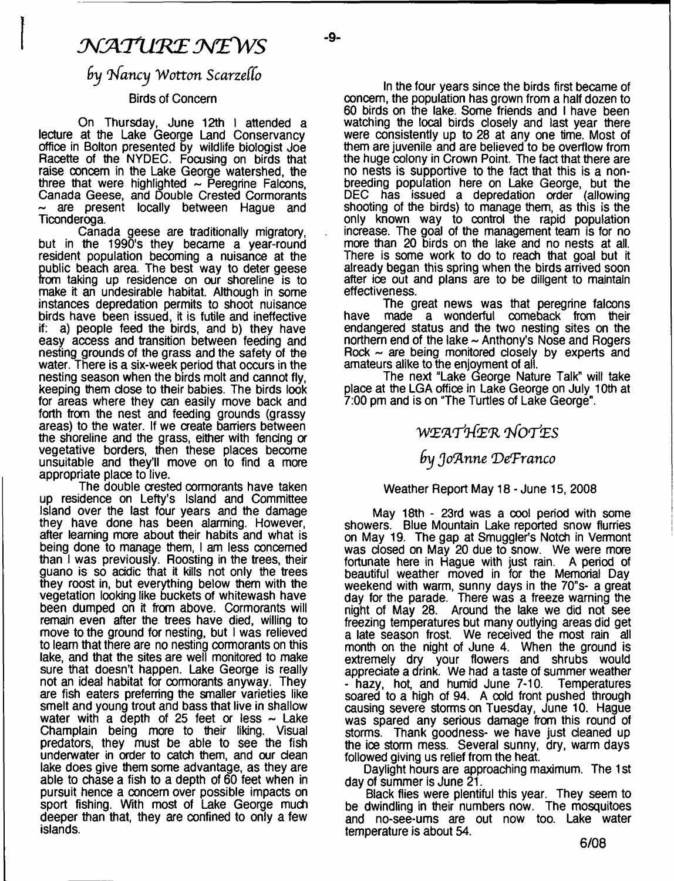# *M A T lt K E M Z W S*

ـ۵.

## *by Infancy Wotton ScarzefCo*

## Birds of Concern

On Thursday, June 12th I attended a lecture at the Lake George Land Conservancy office in Bolton presented by wildlife biologist Joe Racette of the NYDEC. Focusing on birds that raise concern in the Lake George watershed, the three that were highlighted  $\sim$  Peregrine Falcons, Canada Geese, and Double Crested Cormorants are present locally between Hague and Ticonderoga.

Canada geese are traditionally migratory, but in the 1990's they became a year-round resident population becoming a nuisance at the ublic beach area. The best way to deter geese from taking up residence on our shoreline is to make it an undesirable habitat. Although in some instances depredation permits to shoot nuisance birds have been issued, it is futile and ineffective if: a) people feed the birds, and b) they have easy access and transition between feeding and nesting grounds of the grass and the safety of the water. There is a six-week period that occurs in the nesting season when the birds molt and cannot fly, keeping them dose to their babies. The birds look for areas where they can easily move back and forth from the nest and feeding grounds (grassy areas) to the water. If we create barriers between the shoreline and the grass, either with fendng or vegetative borders, then these places become unsuitable and they'll move on to find a more appropriate place to live.

The double crested cormorants have taken up residence on Lefty's Island and Committee Island over the last four years and the damage they have done has been alarming. However, after learning more about their habits and what is being done to manage them, I am less concerned than I was previously. Roosting in the trees, their guano is so addic that it kills not only the trees they roost in, but everything below them with the vegetation looking like buckets of whitewash have been dumped on it from above. Cormorants will remain even after the trees have died, willing to move to the ground for nesting, but I was relieved to learn that there are no nesting cormorants on this lake, and that the sites are well monitored to make sure that doesn't happen. Lake George is really not an ideal habitat for cormorants anyway. They are fish eaters preferring the smaller varieties like smelt and young trout and bass that live in shallow water with a depth of 25 feet or less  $\sim$  Lake Champlain being more to their liking. Visual predators, they must be able to see the fish underwater in order to catch them, and our dean lake does give them some advantage, as they are able to chase a fish to a depth of 60 feet when in pursuit hence a concern over possible impacts on sport fishing. With most of Lake George much deeper than that, they are confined to only a few islands.

In the four years since the birds first became of concern, the population has grown from a half dozen to 60 birds on the lake. Some friends and I have been watching the local birds closely and last year there were consistently up to 28 at any one time. Most of them are juvenile and are believed to be overflow from the huge colony in Crown Point. The fact that there are no nests is supportive to the fact that this is a nonbreeding population here on Lake George, but the DEC has issued a depredation order (allowing shooting of the birds) to manage them, as this is the only known way to control the rapid population increase. The goal of the management team is for no more than 20 birds on the lake and no nests at all. There is some work to do to reach that goal but it already began this spring when the birds arrived soon after ice out and plans are to be diligent to maintain effectiveness.

The great news was that peregrine falcons have made a wonderful comeback from their endangered status and the two nesting sites on the northern end of the lake  $\sim$  Anthony's Nose and Rogers Rock  $\sim$  are being monitored closely by experts and amateurs alike to the enjoyment of all.

The next "Lake George Nature Talk" will take place at the LGA office in Lake George on July 10th at 7:00 pm and is on "The Turtles of Lake George".

## *WZK'PrfE'R qfO'f'ES*

## *9\j JoTlnne 'DefFranco*

## Weather Report May 18 - June 15, 2008

May 18th - 23rd was a cool period with some showers. Blue Mountain Lake reported snow flurries on May 19. The gap at Smuggler's Notch in Vermont was closed on May 20 due to snow. We were more fortunate here in Hague with just rain. A period of beautiful weather moved in for the Memorial Day weekend with warm, sunny days in the 70"s- a great day for the parade. There was a freeze warning the night of May 28. Around the lake we did not see freezing temperatures but many outlying areas did get a late season frost. We received the most rain all month on the night of June 4. When the ground is extremely dry your flowers and shrubs would appreciate a drink. We had a taste of summer weather<br>- hazy, hot, and humid June 7-10. Temperatures - hazy, hot, and humid June 7-10. soared to a high of 94. A oold front pushed through causing severe storms on Tuesday, June 10. Hague was spared any serious damage from this round of storms. Thank goodness- we have just cleaned up the ioe storm mess. Several sunny, dry, warm days followed giving us relief from the heat.

Daylight hours are approaching maximum. The 1 st day of summer is June 21.

Black flies were plentiful this year. They seem to be dwindling in their numbers now. The mosquitoes and no-see-ums are out now too. Lake water temperature is about 54.